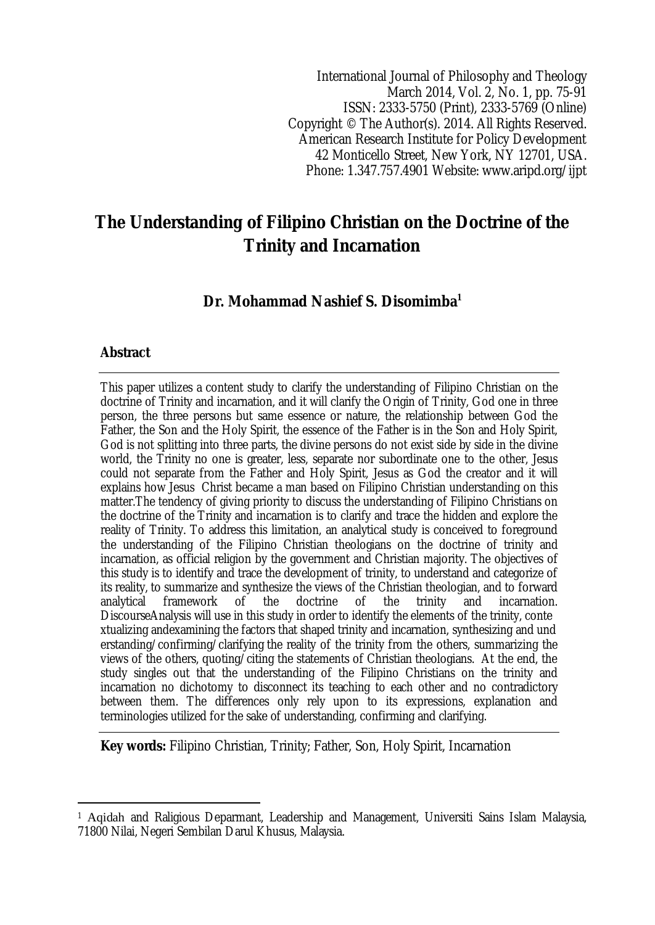International Journal of Philosophy and Theology March 2014, Vol. 2, No. 1, pp. 75-91 ISSN: 2333-5750 (Print), 2333-5769 (Online) Copyright © The Author(s). 2014. All Rights Reserved. American Research Institute for Policy Development 42 Monticello Street, New York, NY 12701, USA. Phone: 1.347.757.4901 Website: www.aripd.org/ijpt

# **The Understanding of Filipino Christian on the Doctrine of the Trinity and Incarnation**

## **Dr. Mohammad Nashief S. Disomimba<sup>1</sup>**

### **Abstract**

 $\overline{\phantom{a}}$ 

This paper utilizes a content study to clarify the understanding of Filipino Christian on the doctrine of Trinity and incarnation, and it will clarify the Origin of Trinity, God one in three person, the three persons but same essence or nature, the relationship between God the Father, the Son and the Holy Spirit, the essence of the Father is in the Son and Holy Spirit, God is not splitting into three parts, the divine persons do not exist side by side in the divine world, the Trinity no one is greater, less, separate nor subordinate one to the other, Jesus could not separate from the Father and Holy Spirit, Jesus as God the creator and it will explains how Jesus Christ became a man based on Filipino Christian understanding on this matter.The tendency of giving priority to discuss the understanding of Filipino Christians on the doctrine of the Trinity and incarnation is to clarify and trace the hidden and explore the reality of Trinity. To address this limitation, an analytical study is conceived to foreground the understanding of the Filipino Christian theologians on the doctrine of trinity and incarnation, as official religion by the government and Christian majority. The objectives of this study is to identify and trace the development of trinity, to understand and categorize of its reality, to summarize and synthesize the views of the Christian theologian, and to forward analytical framework of the doctrine of the trinity and incarnation. analytical framework of the doctrine of the trinity and incarnation. DiscourseAnalysis will use in this study in order to identify the elements of the trinity, conte xtualizing andexamining the factors that shaped trinity and incarnation, synthesizing and und erstanding/confirming/clarifying the reality of the trinity from the others, summarizing the views of the others, quoting/citing the statements of Christian theologians. At the end, the study singles out that the understanding of the Filipino Christians on the trinity and incarnation no dichotomy to disconnect its teaching to each other and no contradictory between them. The differences only rely upon to its expressions, explanation and terminologies utilized for the sake of understanding, confirming and clarifying.

**Key words:** Filipino Christian, Trinity; Father, Son, Holy Spirit, Incarnation

<sup>1</sup> Aqidah and Raligious Deparmant, Leadership and Management, Universiti Sains Islam Malaysia, 71800 Nilai, Negeri Sembilan Darul Khusus, Malaysia.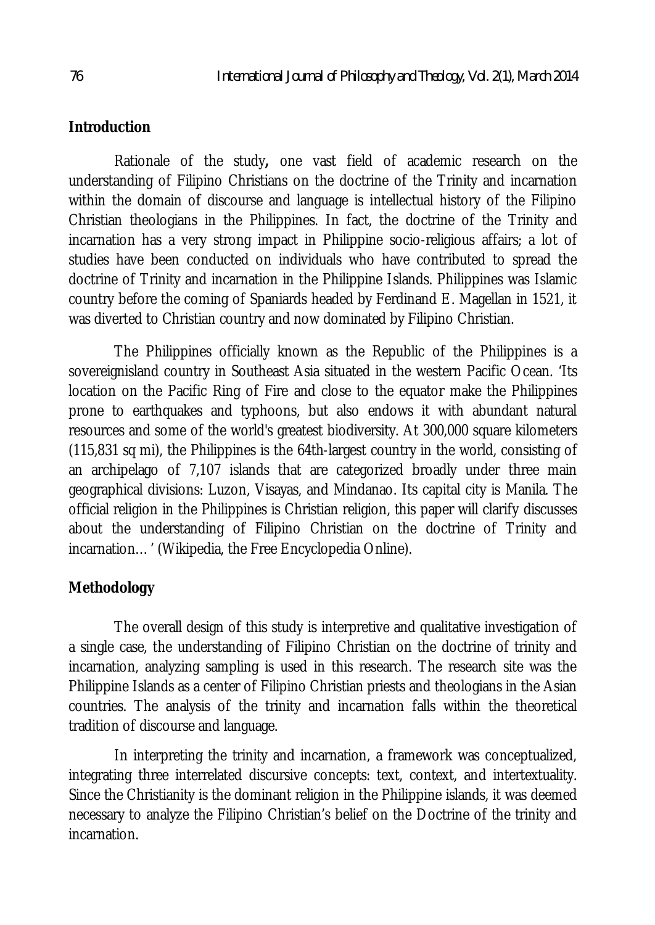## **Introduction**

Rationale of the study**,** one vast field of academic research on the understanding of Filipino Christians on the doctrine of the Trinity and incarnation within the domain of discourse and language is intellectual history of the Filipino Christian theologians in the Philippines. In fact, the doctrine of the Trinity and incarnation has a very strong impact in Philippine socio-religious affairs; a lot of studies have been conducted on individuals who have contributed to spread the doctrine of Trinity and incarnation in the Philippine Islands. Philippines was Islamic country before the coming of Spaniards headed by Ferdinand E. Magellan in 1521, it was diverted to Christian country and now dominated by Filipino Christian.

The Philippines officially known as the Republic of the Philippines is a sovereignisland country in Southeast Asia situated in the western Pacific Ocean. 'Its location on the Pacific Ring of Fire and close to the equator make the Philippines prone to earthquakes and typhoons, but also endows it with abundant natural resources and some of the world's greatest biodiversity. At 300,000 square kilometers (115,831 sq mi), the Philippines is the 64th-largest country in the world, consisting of an archipelago of 7,107 islands that are categorized broadly under three main geographical divisions: Luzon, Visayas, and Mindanao. Its capital city is Manila. The official religion in the Philippines is Christian religion, this paper will clarify discusses about the understanding of Filipino Christian on the doctrine of Trinity and incarnation…' (Wikipedia, the Free Encyclopedia Online).

## **Methodology**

The overall design of this study is interpretive and qualitative investigation of a single case, the understanding of Filipino Christian on the doctrine of trinity and incarnation, analyzing sampling is used in this research. The research site was the Philippine Islands as a center of Filipino Christian priests and theologians in the Asian countries. The analysis of the trinity and incarnation falls within the theoretical tradition of discourse and language.

In interpreting the trinity and incarnation, a framework was conceptualized, integrating three interrelated discursive concepts: text, context, and intertextuality. Since the Christianity is the dominant religion in the Philippine islands, it was deemed necessary to analyze the Filipino Christian's belief on the Doctrine of the trinity and incarnation.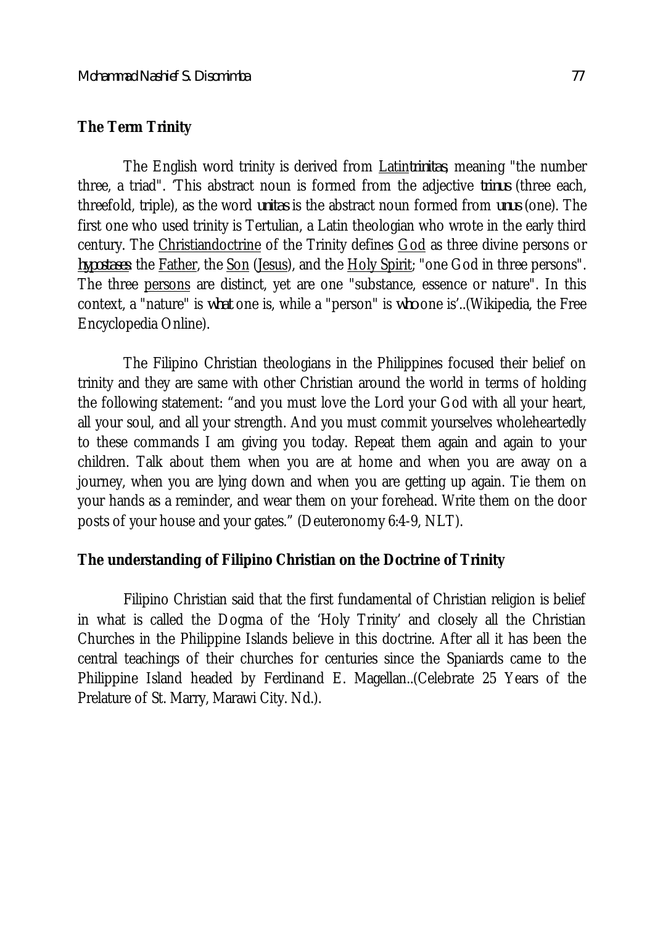### **The Term Trinity**

The English word trinity is derived from Latin*trinitas*, meaning "the number three, a triad". 'This abstract noun is formed from the adjective *trinus* (three each, threefold, triple), as the word *unitas* is the abstract noun formed from *unus* (one). The first one who used trinity is Tertulian, a Latin theologian who wrote in the early third century. The Christiandoctrine of the Trinity defines God as three divine persons or *hypostases*: the Father, the Son (Jesus), and the Holy Spirit; "one God in three persons". The three persons are distinct, yet are one "substance, essence or nature". In this context, a "nature" is *what* one is, while a "person" is *who* one is'..(Wikipedia, the Free Encyclopedia Online).

The Filipino Christian theologians in the Philippines focused their belief on trinity and they are same with other Christian around the world in terms of holding the following statement: "and you must love the Lord your God with all your heart, all your soul, and all your strength. And you must commit yourselves wholeheartedly to these commands I am giving you today. Repeat them again and again to your children. Talk about them when you are at home and when you are away on a journey, when you are lying down and when you are getting up again. Tie them on your hands as a reminder, and wear them on your forehead. Write them on the door posts of your house and your gates." (Deuteronomy 6:4-9, NLT).

### **The understanding of Filipino Christian on the Doctrine of Trinity**

Filipino Christian said that the first fundamental of Christian religion is belief in what is called the Dogma of the 'Holy Trinity' and closely all the Christian Churches in the Philippine Islands believe in this doctrine. After all it has been the central teachings of their churches for centuries since the Spaniards came to the Philippine Island headed by Ferdinand E. Magellan..(Celebrate 25 Years of the Prelature of St. Marry, Marawi City. Nd.).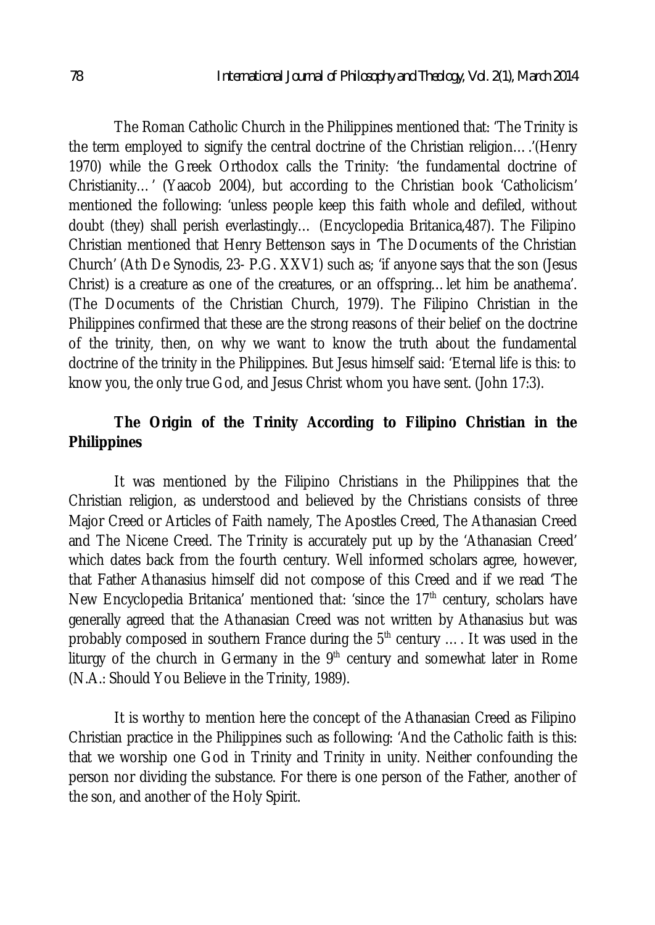The Roman Catholic Church in the Philippines mentioned that: 'The Trinity is the term employed to signify the central doctrine of the Christian religion….'(Henry 1970) while the Greek Orthodox calls the Trinity: 'the fundamental doctrine of Christianity…' (Yaacob 2004), but according to the Christian book 'Catholicism' mentioned the following: 'unless people keep this faith whole and defiled, without doubt (they) shall perish everlastingly… (Encyclopedia Britanica,487). The Filipino Christian mentioned that Henry Bettenson says in 'The Documents of the Christian Church' (Ath De Synodis, 23- P.G. XXV1) such as; 'if anyone says that the son (Jesus Christ) is a creature as one of the creatures, or an offspring…let him be anathema'. (The Documents of the Christian Church, 1979). The Filipino Christian in the Philippines confirmed that these are the strong reasons of their belief on the doctrine of the trinity, then, on why we want to know the truth about the fundamental doctrine of the trinity in the Philippines. But Jesus himself said: 'Eternal life is this: to know you, the only true God, and Jesus Christ whom you have sent. (John 17:3).

## **The Origin of the Trinity According to Filipino Christian in the Philippines**

It was mentioned by the Filipino Christians in the Philippines that the Christian religion, as understood and believed by the Christians consists of three Major Creed or Articles of Faith namely, The Apostles Creed, The Athanasian Creed and The Nicene Creed. The Trinity is accurately put up by the 'Athanasian Creed' which dates back from the fourth century. Well informed scholars agree, however, that Father Athanasius himself did not compose of this Creed and if we read 'The New Encyclopedia Britanica' mentioned that: 'since the  $17<sup>th</sup>$  century, scholars have generally agreed that the Athanasian Creed was not written by Athanasius but was probably composed in southern France during the  $5<sup>th</sup>$  century .... It was used in the liturgy of the church in Germany in the  $9<sup>th</sup>$  century and somewhat later in Rome (N.A.: Should You Believe in the Trinity, 1989).

It is worthy to mention here the concept of the Athanasian Creed as Filipino Christian practice in the Philippines such as following: 'And the Catholic faith is this: that we worship one God in Trinity and Trinity in unity. Neither confounding the person nor dividing the substance. For there is one person of the Father, another of the son, and another of the Holy Spirit.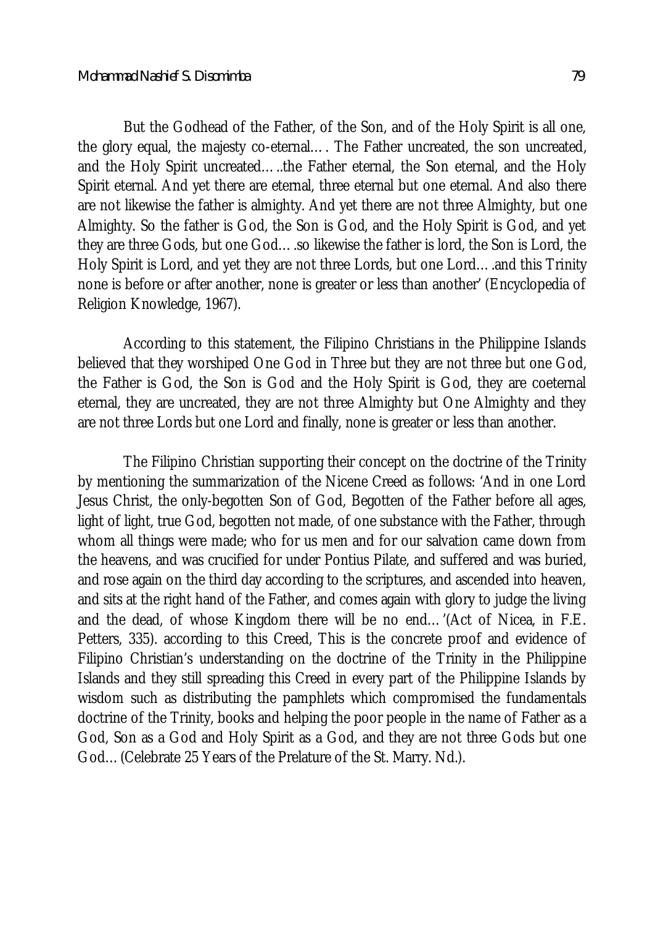But the Godhead of the Father, of the Son, and of the Holy Spirit is all one, the glory equal, the majesty co-eternal…. The Father uncreated, the son uncreated, and the Holy Spirit uncreated…..the Father eternal, the Son eternal, and the Holy Spirit eternal. And yet there are eternal, three eternal but one eternal. And also there are not likewise the father is almighty. And yet there are not three Almighty, but one Almighty. So the father is God, the Son is God, and the Holy Spirit is God, and yet they are three Gods, but one God….so likewise the father is lord, the Son is Lord, the Holy Spirit is Lord, and yet they are not three Lords, but one Lord….and this Trinity none is before or after another, none is greater or less than another' (Encyclopedia of Religion Knowledge, 1967).

According to this statement, the Filipino Christians in the Philippine Islands believed that they worshiped One God in Three but they are not three but one God, the Father is God, the Son is God and the Holy Spirit is God, they are coeternal eternal, they are uncreated, they are not three Almighty but One Almighty and they are not three Lords but one Lord and finally, none is greater or less than another.

The Filipino Christian supporting their concept on the doctrine of the Trinity by mentioning the summarization of the Nicene Creed as follows: 'And in one Lord Jesus Christ, the only-begotten Son of God, Begotten of the Father before all ages, light of light, true God, begotten not made, of one substance with the Father, through whom all things were made; who for us men and for our salvation came down from the heavens, and was crucified for under Pontius Pilate, and suffered and was buried, and rose again on the third day according to the scriptures, and ascended into heaven, and sits at the right hand of the Father, and comes again with glory to judge the living and the dead, of whose Kingdom there will be no end…'(Act of Nicea, in F.E. Petters, 335). according to this Creed, This is the concrete proof and evidence of Filipino Christian's understanding on the doctrine of the Trinity in the Philippine Islands and they still spreading this Creed in every part of the Philippine Islands by wisdom such as distributing the pamphlets which compromised the fundamentals doctrine of the Trinity, books and helping the poor people in the name of Father as a God, Son as a God and Holy Spirit as a God, and they are not three Gods but one God…(Celebrate 25 Years of the Prelature of the St. Marry. Nd.).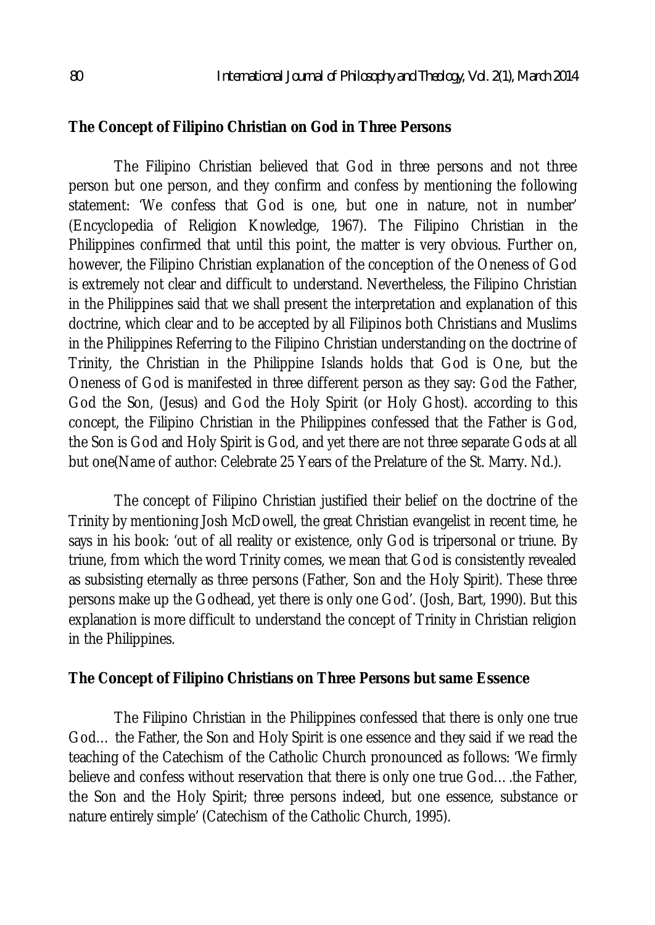### **The Concept of Filipino Christian on God in Three Persons**

The Filipino Christian believed that God in three persons and not three person but one person, and they confirm and confess by mentioning the following statement: 'We confess that God is one, but one in nature, not in number' (Encyclopedia of Religion Knowledge, 1967). The Filipino Christian in the Philippines confirmed that until this point, the matter is very obvious. Further on, however, the Filipino Christian explanation of the conception of the Oneness of God is extremely not clear and difficult to understand. Nevertheless, the Filipino Christian in the Philippines said that we shall present the interpretation and explanation of this doctrine, which clear and to be accepted by all Filipinos both Christians and Muslims in the Philippines Referring to the Filipino Christian understanding on the doctrine of Trinity, the Christian in the Philippine Islands holds that God is One, but the Oneness of God is manifested in three different person as they say: God the Father, God the Son, (Jesus) and God the Holy Spirit (or Holy Ghost). according to this concept, the Filipino Christian in the Philippines confessed that the Father is God, the Son is God and Holy Spirit is God, and yet there are not three separate Gods at all but one(Name of author: Celebrate 25 Years of the Prelature of the St. Marry. Nd.).

The concept of Filipino Christian justified their belief on the doctrine of the Trinity by mentioning Josh McDowell, the great Christian evangelist in recent time, he says in his book: 'out of all reality or existence, only God is tripersonal or triune. By triune, from which the word Trinity comes, we mean that God is consistently revealed as subsisting eternally as three persons (Father, Son and the Holy Spirit). These three persons make up the Godhead, yet there is only one God'. (Josh, Bart, 1990). But this explanation is more difficult to understand the concept of Trinity in Christian religion in the Philippines.

### **The Concept of Filipino Christians on Three Persons but same Essence**

The Filipino Christian in the Philippines confessed that there is only one true God… the Father, the Son and Holy Spirit is one essence and they said if we read the teaching of the Catechism of the Catholic Church pronounced as follows: 'We firmly believe and confess without reservation that there is only one true God….the Father, the Son and the Holy Spirit; three persons indeed, but one essence, substance or nature entirely simple' (Catechism of the Catholic Church, 1995).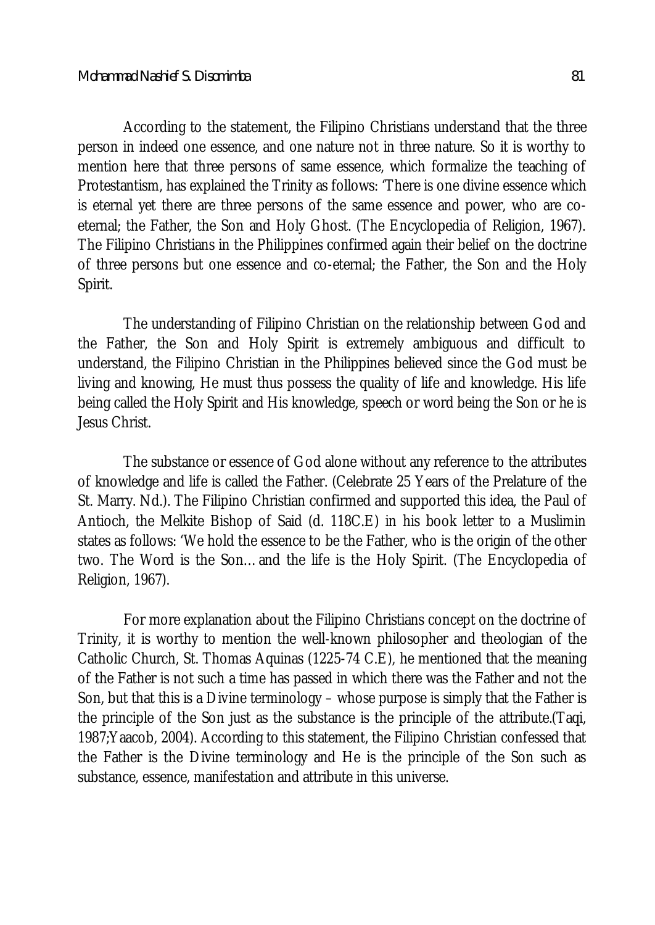According to the statement, the Filipino Christians understand that the three person in indeed one essence, and one nature not in three nature. So it is worthy to mention here that three persons of same essence, which formalize the teaching of Protestantism, has explained the Trinity as follows: 'There is one divine essence which is eternal yet there are three persons of the same essence and power, who are coeternal; the Father, the Son and Holy Ghost. (The Encyclopedia of Religion, 1967). The Filipino Christians in the Philippines confirmed again their belief on the doctrine of three persons but one essence and co-eternal; the Father, the Son and the Holy Spirit.

The understanding of Filipino Christian on the relationship between God and the Father, the Son and Holy Spirit is extremely ambiguous and difficult to understand, the Filipino Christian in the Philippines believed since the God must be living and knowing, He must thus possess the quality of life and knowledge. His life being called the Holy Spirit and His knowledge, speech or word being the Son or he is Jesus Christ.

The substance or essence of God alone without any reference to the attributes of knowledge and life is called the Father. (Celebrate 25 Years of the Prelature of the St. Marry. Nd.). The Filipino Christian confirmed and supported this idea, the Paul of Antioch, the Melkite Bishop of Said (d. 118C.E) in his book letter to a Muslimin states as follows: 'We hold the essence to be the Father, who is the origin of the other two. The Word is the Son…and the life is the Holy Spirit. (The Encyclopedia of Religion, 1967).

For more explanation about the Filipino Christians concept on the doctrine of Trinity, it is worthy to mention the well-known philosopher and theologian of the Catholic Church, St. Thomas Aquinas (1225-74 C.E), he mentioned that the meaning of the Father is not such a time has passed in which there was the Father and not the Son, but that this is a Divine terminology – whose purpose is simply that the Father is the principle of the Son just as the substance is the principle of the attribute.(Taqi, 1987;Yaacob, 2004). According to this statement, the Filipino Christian confessed that the Father is the Divine terminology and He is the principle of the Son such as substance, essence, manifestation and attribute in this universe.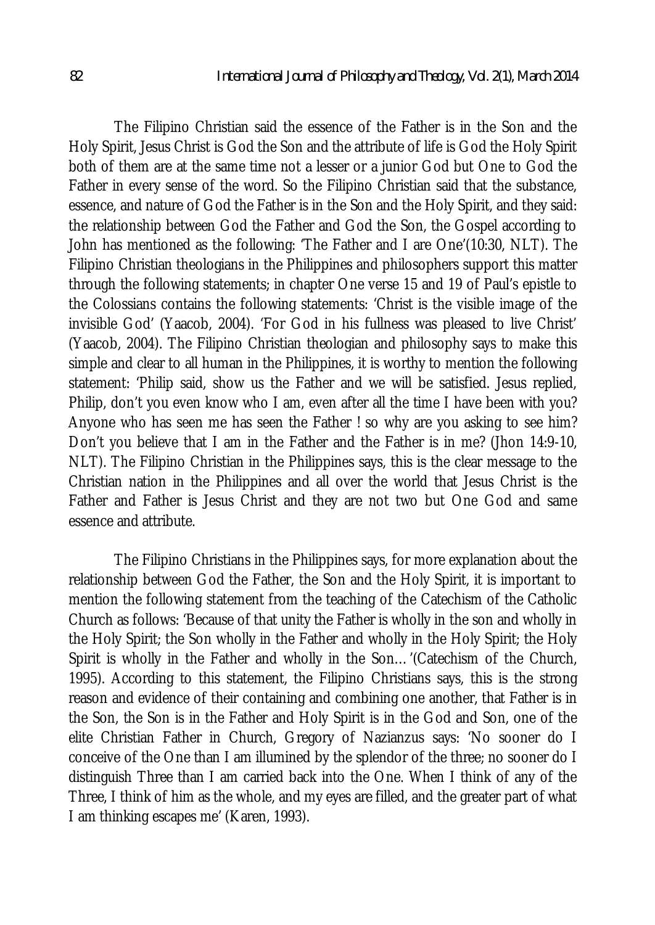The Filipino Christian said the essence of the Father is in the Son and the Holy Spirit, Jesus Christ is God the Son and the attribute of life is God the Holy Spirit both of them are at the same time not a lesser or a junior God but One to God the Father in every sense of the word. So the Filipino Christian said that the substance, essence, and nature of God the Father is in the Son and the Holy Spirit, and they said: the relationship between God the Father and God the Son, the Gospel according to John has mentioned as the following: 'The Father and I are One'(10:30, NLT). The Filipino Christian theologians in the Philippines and philosophers support this matter through the following statements; in chapter One verse 15 and 19 of Paul's epistle to the Colossians contains the following statements: 'Christ is the visible image of the invisible God' (Yaacob, 2004). 'For God in his fullness was pleased to live Christ' (Yaacob, 2004). The Filipino Christian theologian and philosophy says to make this simple and clear to all human in the Philippines, it is worthy to mention the following statement: 'Philip said, show us the Father and we will be satisfied. Jesus replied, Philip, don't you even know who I am, even after all the time I have been with you? Anyone who has seen me has seen the Father ! so why are you asking to see him? Don't you believe that I am in the Father and the Father is in me? (Jhon 14:9-10, NLT). The Filipino Christian in the Philippines says, this is the clear message to the Christian nation in the Philippines and all over the world that Jesus Christ is the Father and Father is Jesus Christ and they are not two but One God and same essence and attribute.

The Filipino Christians in the Philippines says, for more explanation about the relationship between God the Father, the Son and the Holy Spirit, it is important to mention the following statement from the teaching of the Catechism of the Catholic Church as follows: 'Because of that unity the Father is wholly in the son and wholly in the Holy Spirit; the Son wholly in the Father and wholly in the Holy Spirit; the Holy Spirit is wholly in the Father and wholly in the Son…'(Catechism of the Church, 1995). According to this statement, the Filipino Christians says, this is the strong reason and evidence of their containing and combining one another, that Father is in the Son, the Son is in the Father and Holy Spirit is in the God and Son, one of the elite Christian Father in Church, Gregory of Nazianzus says: 'No sooner do I conceive of the One than I am illumined by the splendor of the three; no sooner do I distinguish Three than I am carried back into the One. When I think of any of the Three, I think of him as the whole, and my eyes are filled, and the greater part of what I am thinking escapes me' (Karen, 1993).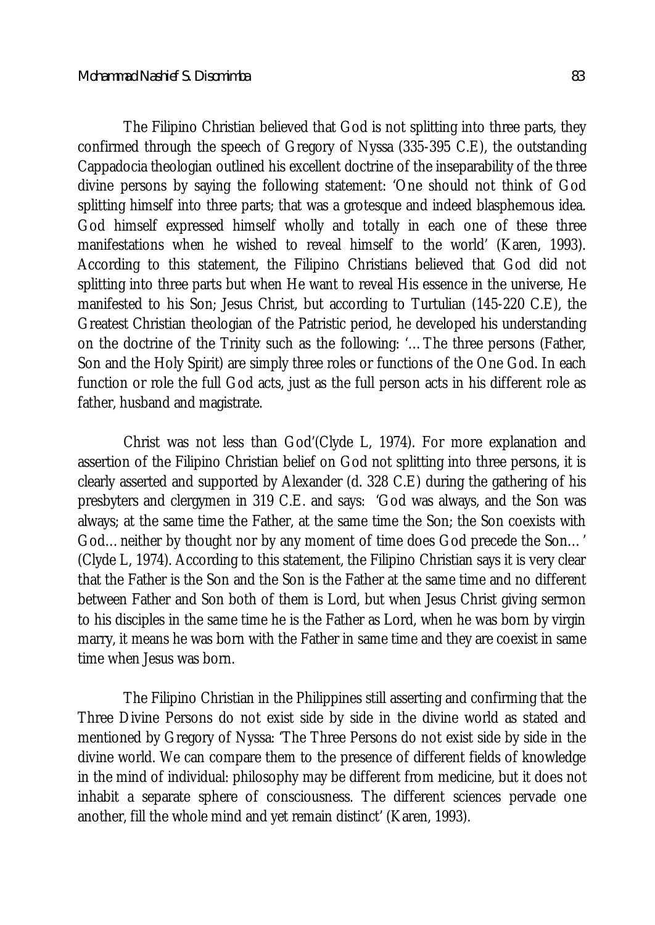The Filipino Christian believed that God is not splitting into three parts, they confirmed through the speech of Gregory of Nyssa (335-395 C.E), the outstanding Cappadocia theologian outlined his excellent doctrine of the inseparability of the three divine persons by saying the following statement: 'One should not think of God splitting himself into three parts; that was a grotesque and indeed blasphemous idea. God himself expressed himself wholly and totally in each one of these three manifestations when he wished to reveal himself to the world' (Karen, 1993). According to this statement, the Filipino Christians believed that God did not splitting into three parts but when He want to reveal His essence in the universe, He manifested to his Son; Jesus Christ, but according to Turtulian (145-220 C.E), the Greatest Christian theologian of the Patristic period, he developed his understanding on the doctrine of the Trinity such as the following: '…The three persons (Father, Son and the Holy Spirit) are simply three roles or functions of the One God. In each function or role the full God acts, just as the full person acts in his different role as father, husband and magistrate.

Christ was not less than God'(Clyde L, 1974). For more explanation and assertion of the Filipino Christian belief on God not splitting into three persons, it is clearly asserted and supported by Alexander (d. 328 C.E) during the gathering of his presbyters and clergymen in 319 C.E. and says: 'God was always, and the Son was always; at the same time the Father, at the same time the Son; the Son coexists with God…neither by thought nor by any moment of time does God precede the Son…' (Clyde L, 1974). According to this statement, the Filipino Christian says it is very clear that the Father is the Son and the Son is the Father at the same time and no different between Father and Son both of them is Lord, but when Jesus Christ giving sermon to his disciples in the same time he is the Father as Lord, when he was born by virgin marry, it means he was born with the Father in same time and they are coexist in same time when Jesus was born.

The Filipino Christian in the Philippines still asserting and confirming that the Three Divine Persons do not exist side by side in the divine world as stated and mentioned by Gregory of Nyssa: 'The Three Persons do not exist side by side in the divine world. We can compare them to the presence of different fields of knowledge in the mind of individual: philosophy may be different from medicine, but it does not inhabit a separate sphere of consciousness. The different sciences pervade one another, fill the whole mind and yet remain distinct' (Karen, 1993).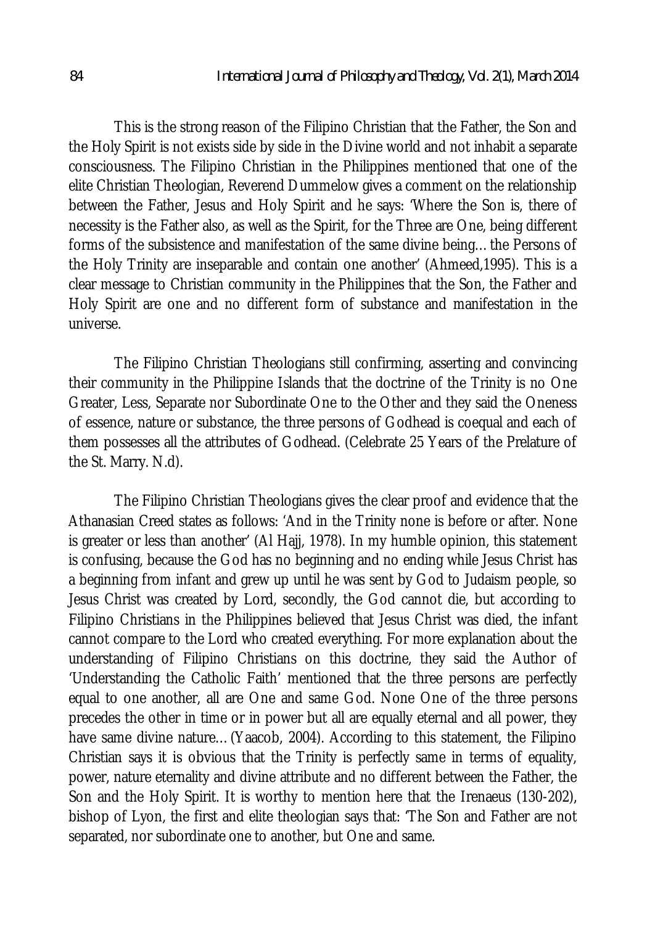This is the strong reason of the Filipino Christian that the Father, the Son and the Holy Spirit is not exists side by side in the Divine world and not inhabit a separate consciousness. The Filipino Christian in the Philippines mentioned that one of the elite Christian Theologian, Reverend Dummelow gives a comment on the relationship between the Father, Jesus and Holy Spirit and he says: 'Where the Son is, there of necessity is the Father also, as well as the Spirit, for the Three are One, being different forms of the subsistence and manifestation of the same divine being...the Persons of the Holy Trinity are inseparable and contain one another' (Ahmeed,1995). This is a clear message to Christian community in the Philippines that the Son, the Father and Holy Spirit are one and no different form of substance and manifestation in the universe.

The Filipino Christian Theologians still confirming, asserting and convincing their community in the Philippine Islands that the doctrine of the Trinity is no One Greater, Less, Separate nor Subordinate One to the Other and they said the Oneness of essence, nature or substance, the three persons of Godhead is coequal and each of them possesses all the attributes of Godhead. (Celebrate 25 Years of the Prelature of the St. Marry. N.d).

The Filipino Christian Theologians gives the clear proof and evidence that the Athanasian Creed states as follows: 'And in the Trinity none is before or after. None is greater or less than another' (Al Hajj, 1978). In my humble opinion, this statement is confusing, because the God has no beginning and no ending while Jesus Christ has a beginning from infant and grew up until he was sent by God to Judaism people, so Jesus Christ was created by Lord, secondly, the God cannot die, but according to Filipino Christians in the Philippines believed that Jesus Christ was died, the infant cannot compare to the Lord who created everything. For more explanation about the understanding of Filipino Christians on this doctrine, they said the Author of 'Understanding the Catholic Faith' mentioned that the three persons are perfectly equal to one another, all are One and same God. None One of the three persons precedes the other in time or in power but all are equally eternal and all power, they have same divine nature…(Yaacob, 2004). According to this statement, the Filipino Christian says it is obvious that the Trinity is perfectly same in terms of equality, power, nature eternality and divine attribute and no different between the Father, the Son and the Holy Spirit. It is worthy to mention here that the Irenaeus (130-202), bishop of Lyon, the first and elite theologian says that: 'The Son and Father are not separated, nor subordinate one to another, but One and same.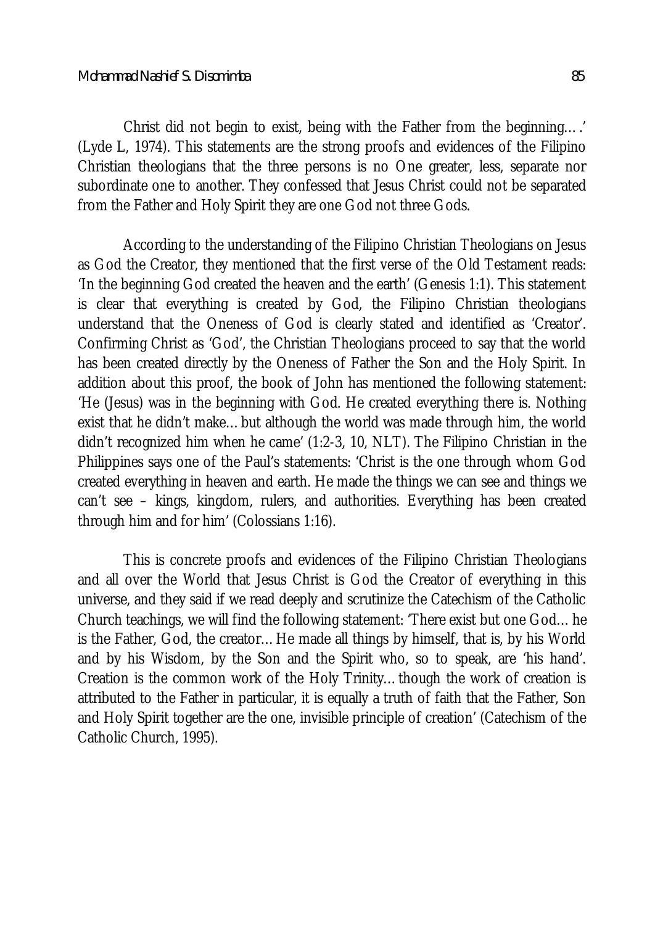Christ did not begin to exist, being with the Father from the beginning….' (Lyde L, 1974). This statements are the strong proofs and evidences of the Filipino Christian theologians that the three persons is no One greater, less, separate nor subordinate one to another. They confessed that Jesus Christ could not be separated from the Father and Holy Spirit they are one God not three Gods.

According to the understanding of the Filipino Christian Theologians on Jesus as God the Creator, they mentioned that the first verse of the Old Testament reads: 'In the beginning God created the heaven and the earth' (Genesis 1:1). This statement is clear that everything is created by God, the Filipino Christian theologians understand that the Oneness of God is clearly stated and identified as 'Creator'. Confirming Christ as 'God', the Christian Theologians proceed to say that the world has been created directly by the Oneness of Father the Son and the Holy Spirit. In addition about this proof, the book of John has mentioned the following statement: 'He (Jesus) was in the beginning with God. He created everything there is. Nothing exist that he didn't make...but although the world was made through him, the world didn't recognized him when he came' (1:2-3, 10, NLT). The Filipino Christian in the Philippines says one of the Paul's statements: 'Christ is the one through whom God created everything in heaven and earth. He made the things we can see and things we can't see – kings, kingdom, rulers, and authorities. Everything has been created through him and for him' (Colossians 1:16).

This is concrete proofs and evidences of the Filipino Christian Theologians and all over the World that Jesus Christ is God the Creator of everything in this universe, and they said if we read deeply and scrutinize the Catechism of the Catholic Church teachings, we will find the following statement: 'There exist but one God…he is the Father, God, the creator…He made all things by himself, that is, by his World and by his Wisdom, by the Son and the Spirit who, so to speak, are 'his hand'. Creation is the common work of the Holy Trinity…though the work of creation is attributed to the Father in particular, it is equally a truth of faith that the Father, Son and Holy Spirit together are the one, invisible principle of creation' (Catechism of the Catholic Church, 1995).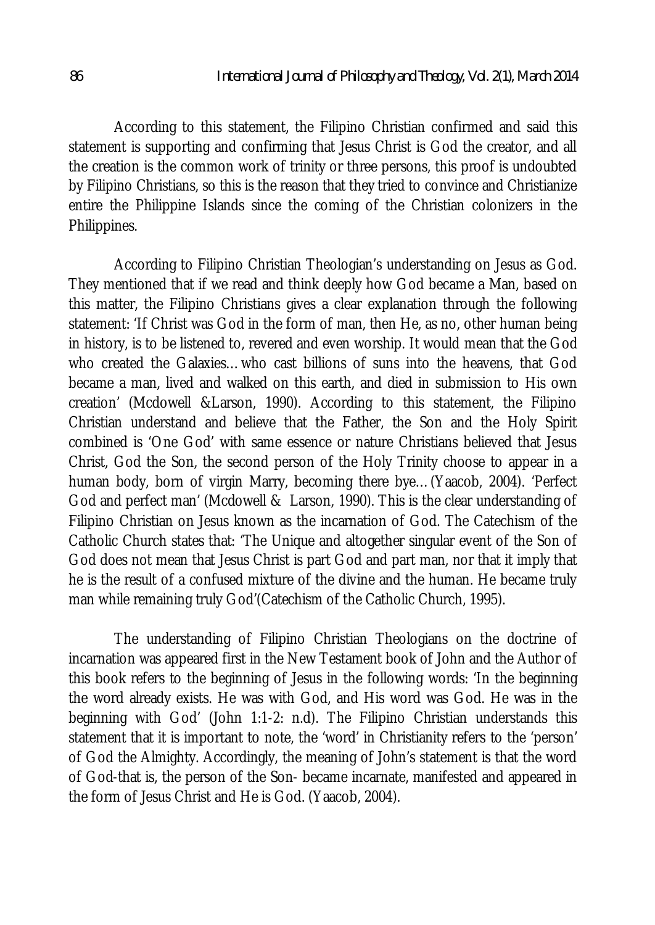According to this statement, the Filipino Christian confirmed and said this statement is supporting and confirming that Jesus Christ is God the creator, and all the creation is the common work of trinity or three persons, this proof is undoubted by Filipino Christians, so this is the reason that they tried to convince and Christianize entire the Philippine Islands since the coming of the Christian colonizers in the Philippines.

According to Filipino Christian Theologian's understanding on Jesus as God. They mentioned that if we read and think deeply how God became a Man, based on this matter, the Filipino Christians gives a clear explanation through the following statement: 'If Christ was God in the form of man, then He, as no, other human being in history, is to be listened to, revered and even worship. It would mean that the God who created the Galaxies…who cast billions of suns into the heavens, that God became a man, lived and walked on this earth, and died in submission to His own creation' (Mcdowell &Larson, 1990). According to this statement, the Filipino Christian understand and believe that the Father, the Son and the Holy Spirit combined is 'One God' with same essence or nature Christians believed that Jesus Christ, God the Son, the second person of the Holy Trinity choose to appear in a human body, born of virgin Marry, becoming there bye…(Yaacob, 2004). 'Perfect God and perfect man' (Mcdowell & Larson, 1990). This is the clear understanding of Filipino Christian on Jesus known as the incarnation of God. The Catechism of the Catholic Church states that: 'The Unique and altogether singular event of the Son of God does not mean that Jesus Christ is part God and part man, nor that it imply that he is the result of a confused mixture of the divine and the human. He became truly man while remaining truly God'(Catechism of the Catholic Church, 1995).

The understanding of Filipino Christian Theologians on the doctrine of incarnation was appeared first in the New Testament book of John and the Author of this book refers to the beginning of Jesus in the following words: 'In the beginning the word already exists. He was with God, and His word was God. He was in the beginning with God' (John 1:1-2: n.d). The Filipino Christian understands this statement that it is important to note, the 'word' in Christianity refers to the 'person' of God the Almighty. Accordingly, the meaning of John's statement is that the word of God-that is, the person of the Son- became incarnate, manifested and appeared in the form of Jesus Christ and He is God. (Yaacob, 2004).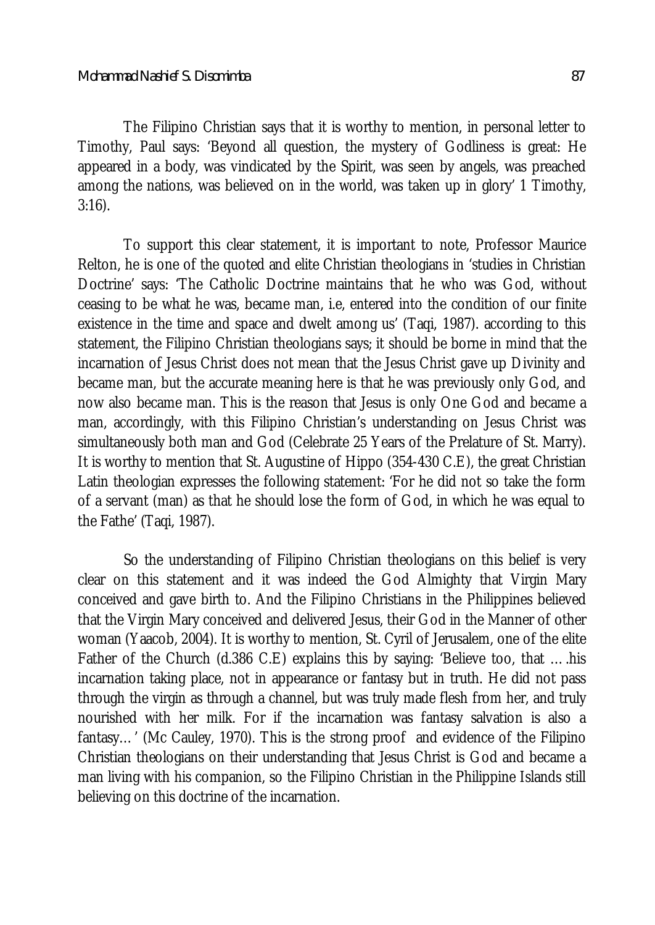The Filipino Christian says that it is worthy to mention, in personal letter to Timothy, Paul says: 'Beyond all question, the mystery of Godliness is great: He appeared in a body, was vindicated by the Spirit, was seen by angels, was preached among the nations, was believed on in the world, was taken up in glory' 1 Timothy, 3:16).

To support this clear statement, it is important to note, Professor Maurice Relton, he is one of the quoted and elite Christian theologians in 'studies in Christian Doctrine' says: 'The Catholic Doctrine maintains that he who was God, without ceasing to be what he was, became man, i.e, entered into the condition of our finite existence in the time and space and dwelt among us' (Taqi, 1987). according to this statement, the Filipino Christian theologians says; it should be borne in mind that the incarnation of Jesus Christ does not mean that the Jesus Christ gave up Divinity and became man, but the accurate meaning here is that he was previously only God, and now also became man. This is the reason that Jesus is only One God and became a man, accordingly, with this Filipino Christian's understanding on Jesus Christ was simultaneously both man and God (Celebrate 25 Years of the Prelature of St. Marry). It is worthy to mention that St. Augustine of Hippo (354-430 C.E), the great Christian Latin theologian expresses the following statement: 'For he did not so take the form of a servant (man) as that he should lose the form of God, in which he was equal to the Fathe' (Taqi, 1987).

So the understanding of Filipino Christian theologians on this belief is very clear on this statement and it was indeed the God Almighty that Virgin Mary conceived and gave birth to. And the Filipino Christians in the Philippines believed that the Virgin Mary conceived and delivered Jesus, their God in the Manner of other woman (Yaacob, 2004). It is worthy to mention, St. Cyril of Jerusalem, one of the elite Father of the Church (d.386 C.E) explains this by saying: 'Believe too, that ….his incarnation taking place, not in appearance or fantasy but in truth. He did not pass through the virgin as through a channel, but was truly made flesh from her, and truly nourished with her milk. For if the incarnation was fantasy salvation is also a fantasy…' (Mc Cauley, 1970). This is the strong proof and evidence of the Filipino Christian theologians on their understanding that Jesus Christ is God and became a man living with his companion, so the Filipino Christian in the Philippine Islands still believing on this doctrine of the incarnation.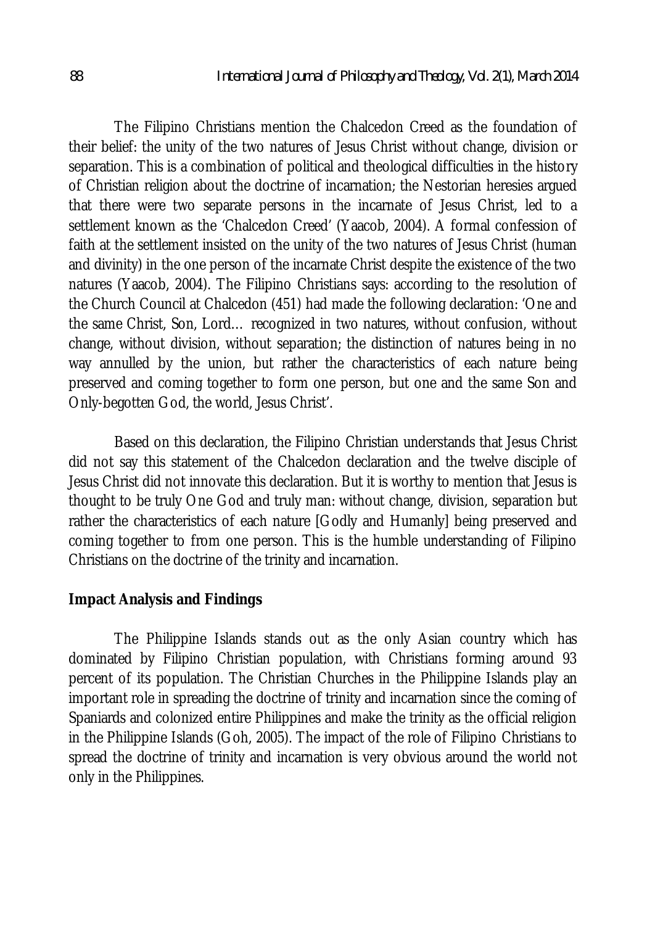The Filipino Christians mention the Chalcedon Creed as the foundation of their belief: the unity of the two natures of Jesus Christ without change, division or separation. This is a combination of political and theological difficulties in the history of Christian religion about the doctrine of incarnation; the Nestorian heresies argued that there were two separate persons in the incarnate of Jesus Christ, led to a settlement known as the 'Chalcedon Creed' (Yaacob, 2004). A formal confession of faith at the settlement insisted on the unity of the two natures of Jesus Christ (human and divinity) in the one person of the incarnate Christ despite the existence of the two natures (Yaacob, 2004). The Filipino Christians says: according to the resolution of the Church Council at Chalcedon (451) had made the following declaration: 'One and the same Christ, Son, Lord… recognized in two natures, without confusion, without change, without division, without separation; the distinction of natures being in no way annulled by the union, but rather the characteristics of each nature being preserved and coming together to form one person, but one and the same Son and Only-begotten God, the world, Jesus Christ'.

Based on this declaration, the Filipino Christian understands that Jesus Christ did not say this statement of the Chalcedon declaration and the twelve disciple of Jesus Christ did not innovate this declaration. But it is worthy to mention that Jesus is thought to be truly One God and truly man: without change, division, separation but rather the characteristics of each nature [Godly and Humanly] being preserved and coming together to from one person. This is the humble understanding of Filipino Christians on the doctrine of the trinity and incarnation.

### **Impact Analysis and Findings**

The Philippine Islands stands out as the only Asian country which has dominated by Filipino Christian population, with Christians forming around 93 percent of its population. The Christian Churches in the Philippine Islands play an important role in spreading the doctrine of trinity and incarnation since the coming of Spaniards and colonized entire Philippines and make the trinity as the official religion in the Philippine Islands (Goh, 2005). The impact of the role of Filipino Christians to spread the doctrine of trinity and incarnation is very obvious around the world not only in the Philippines.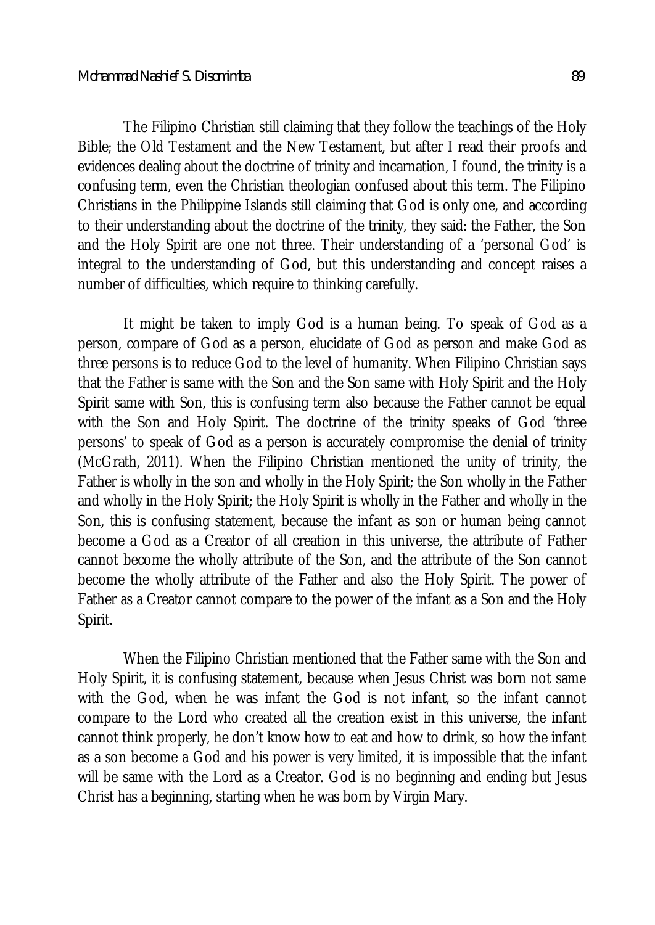The Filipino Christian still claiming that they follow the teachings of the Holy Bible; the Old Testament and the New Testament, but after I read their proofs and evidences dealing about the doctrine of trinity and incarnation, I found, the trinity is a confusing term, even the Christian theologian confused about this term. The Filipino Christians in the Philippine Islands still claiming that God is only one, and according to their understanding about the doctrine of the trinity, they said: the Father, the Son and the Holy Spirit are one not three. Their understanding of a 'personal God' is integral to the understanding of God, but this understanding and concept raises a number of difficulties, which require to thinking carefully.

It might be taken to imply God is a human being. To speak of God as a person, compare of God as a person, elucidate of God as person and make God as three persons is to reduce God to the level of humanity. When Filipino Christian says that the Father is same with the Son and the Son same with Holy Spirit and the Holy Spirit same with Son, this is confusing term also because the Father cannot be equal with the Son and Holy Spirit. The doctrine of the trinity speaks of God 'three persons' to speak of God as a person is accurately compromise the denial of trinity (McGrath, 2011). When the Filipino Christian mentioned the unity of trinity, the Father is wholly in the son and wholly in the Holy Spirit; the Son wholly in the Father and wholly in the Holy Spirit; the Holy Spirit is wholly in the Father and wholly in the Son, this is confusing statement, because the infant as son or human being cannot become a God as a Creator of all creation in this universe, the attribute of Father cannot become the wholly attribute of the Son, and the attribute of the Son cannot become the wholly attribute of the Father and also the Holy Spirit. The power of Father as a Creator cannot compare to the power of the infant as a Son and the Holy Spirit.

When the Filipino Christian mentioned that the Father same with the Son and Holy Spirit, it is confusing statement, because when Jesus Christ was born not same with the God, when he was infant the God is not infant, so the infant cannot compare to the Lord who created all the creation exist in this universe, the infant cannot think properly, he don't know how to eat and how to drink, so how the infant as a son become a God and his power is very limited, it is impossible that the infant will be same with the Lord as a Creator. God is no beginning and ending but Jesus Christ has a beginning, starting when he was born by Virgin Mary.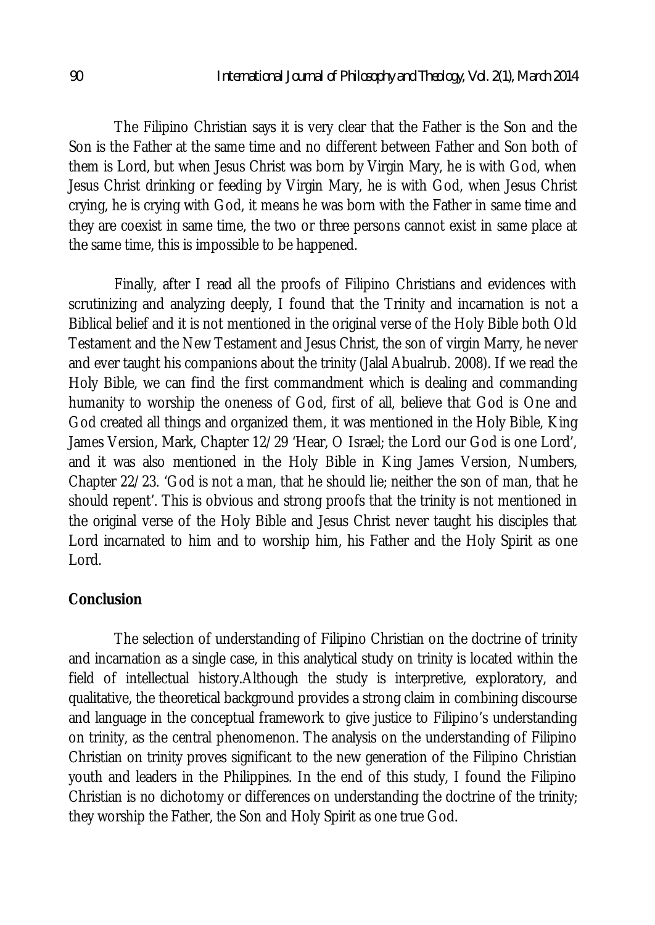The Filipino Christian says it is very clear that the Father is the Son and the Son is the Father at the same time and no different between Father and Son both of them is Lord, but when Jesus Christ was born by Virgin Mary, he is with God, when Jesus Christ drinking or feeding by Virgin Mary, he is with God, when Jesus Christ crying, he is crying with God, it means he was born with the Father in same time and they are coexist in same time, the two or three persons cannot exist in same place at the same time, this is impossible to be happened.

Finally, after I read all the proofs of Filipino Christians and evidences with scrutinizing and analyzing deeply, I found that the Trinity and incarnation is not a Biblical belief and it is not mentioned in the original verse of the Holy Bible both Old Testament and the New Testament and Jesus Christ, the son of virgin Marry, he never and ever taught his companions about the trinity (Jalal Abualrub. 2008). If we read the Holy Bible, we can find the first commandment which is dealing and commanding humanity to worship the oneness of God, first of all, believe that God is One and God created all things and organized them, it was mentioned in the Holy Bible, King James Version, Mark, Chapter 12/29 'Hear, O Israel; the Lord our God is one Lord', and it was also mentioned in the Holy Bible in King James Version, Numbers, Chapter 22/23. 'God is not a man, that he should lie; neither the son of man, that he should repent'. This is obvious and strong proofs that the trinity is not mentioned in the original verse of the Holy Bible and Jesus Christ never taught his disciples that Lord incarnated to him and to worship him, his Father and the Holy Spirit as one Lord.

### **Conclusion**

The selection of understanding of Filipino Christian on the doctrine of trinity and incarnation as a single case, in this analytical study on trinity is located within the field of intellectual history.Although the study is interpretive, exploratory, and qualitative, the theoretical background provides a strong claim in combining discourse and language in the conceptual framework to give justice to Filipino's understanding on trinity, as the central phenomenon. The analysis on the understanding of Filipino Christian on trinity proves significant to the new generation of the Filipino Christian youth and leaders in the Philippines. In the end of this study, I found the Filipino Christian is no dichotomy or differences on understanding the doctrine of the trinity; they worship the Father, the Son and Holy Spirit as one true God.